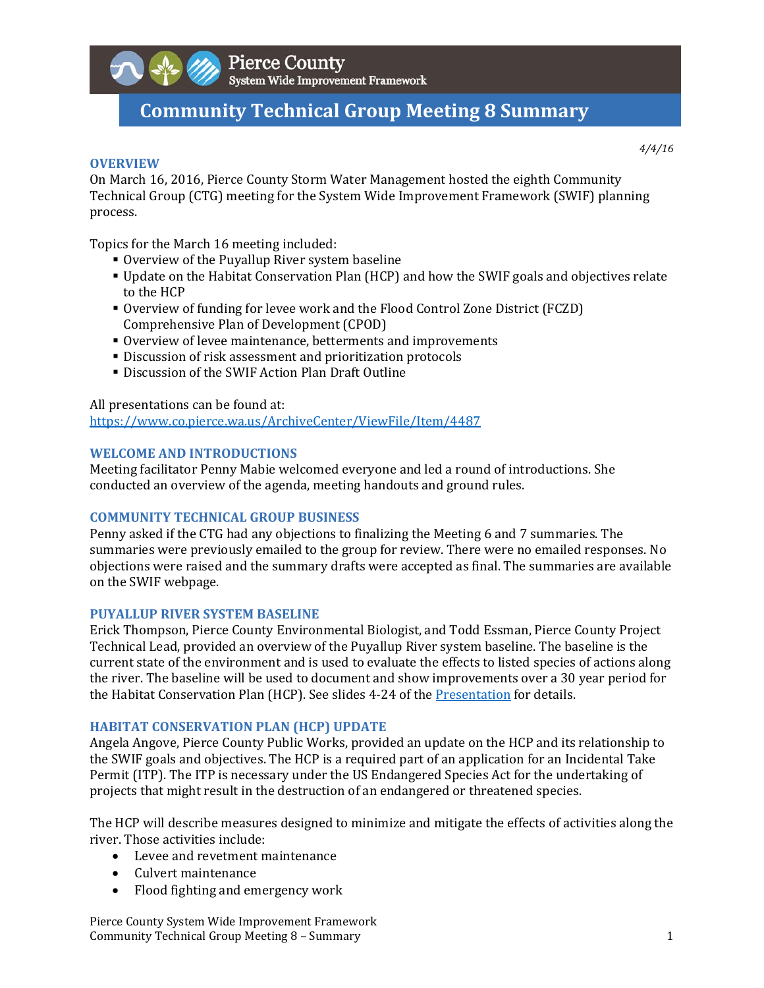

# **Community Technical Group Meeting 8 Summary**

### **OVERVIEW**

*4/4/16*

On March 16, 2016, Pierce County Storm Water Management hosted the eighth Community Technical Group (CTG) meeting for the System Wide Improvement Framework (SWIF) planning process. 

Topics for the March 16 meeting included:

- Overview of the Puyallup River system baseline
- Update on the Habitat Conservation Plan (HCP) and how the SWIF goals and objectives relate to the HCP
- **Overview of funding for levee work and the Flood Control Zone District (FCZD)** Comprehensive Plan of Development (CPOD)
- Overview of levee maintenance, betterments and improvements
- **Discussion of risk assessment and prioritization protocols**
- Discussion of the SWIF Action Plan Draft Outline

All presentations can be found at: https://www.co.pierce.wa.us/ArchiveCenter/ViewFile/Item/4487 

# **WELCOME AND INTRODUCTIONS**

Meeting facilitator Penny Mabie welcomed everyone and led a round of introductions. She conducted an overview of the agenda, meeting handouts and ground rules.

## **COMMUNITY TECHNICAL GROUP BUSINESS**

Penny asked if the CTG had any objections to finalizing the Meeting 6 and 7 summaries. The summaries were previously emailed to the group for review. There were no emailed responses. No objections were raised and the summary drafts were accepted as final. The summaries are available on the SWIF webpage.

# **PUYALLUP RIVER SYSTEM BASELINE**

Erick Thompson, Pierce County Environmental Biologist, and Todd Essman, Pierce County Project Technical Lead, provided an overview of the Puyallup River system baseline. The baseline is the current state of the environment and is used to evaluate the effects to listed species of actions along the river. The baseline will be used to document and show improvements over a 30 year period for the Habitat Conservation Plan (HCP). See slides 4-24 of the Presentation for details.

## **HABITAT CONSERVATION PLAN (HCP) UPDATE**

Angela Angove, Pierce County Public Works, provided an update on the HCP and its relationship to the SWIF goals and objectives. The HCP is a required part of an application for an Incidental Take Permit (ITP). The ITP is necessary under the US Endangered Species Act for the undertaking of projects that might result in the destruction of an endangered or threatened species.

The HCP will describe measures designed to minimize and mitigate the effects of activities along the river. Those activities include:

- Levee and revetment maintenance
- Culvert maintenance
- Flood fighting and emergency work

Pierce County System Wide Improvement Framework Community Technical Group Meeting 8 – Summary **1** and the state of the state of the state of the state of the state of the state of the state of the state of the state of the state of the state of the state of the state of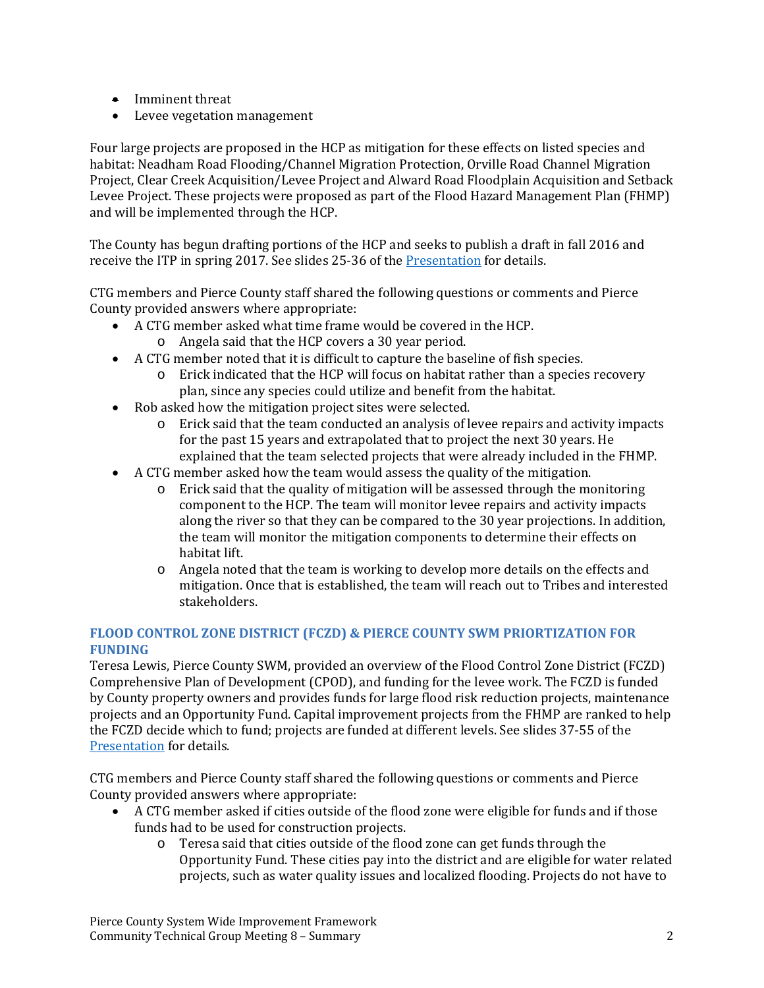- $\bullet$  Imminent threat
- Levee vegetation management

Four large projects are proposed in the HCP as mitigation for these effects on listed species and habitat: Neadham Road Flooding/Channel Migration Protection, Orville Road Channel Migration Project, Clear Creek Acquisition/Levee Project and Alward Road Floodplain Acquisition and Setback Levee Project. These projects were proposed as part of the Flood Hazard Management Plan (FHMP) and will be implemented through the HCP.

The County has begun drafting portions of the HCP and seeks to publish a draft in fall 2016 and receive the ITP in spring 2017. See slides 25-36 of the Presentation for details.

CTG members and Pierce County staff shared the following questions or comments and Pierce County provided answers where appropriate:

- A CTG member asked what time frame would be covered in the HCP.
	- $\circ$  Angela said that the HCP covers a 30 year period.
- A CTG member noted that it is difficult to capture the baseline of fish species.
	- $\circ$  Erick indicated that the HCP will focus on habitat rather than a species recovery plan, since any species could utilize and benefit from the habitat.
- Rob asked how the mitigation project sites were selected.
	- $\circ$  Erick said that the team conducted an analysis of levee repairs and activity impacts for the past 15 years and extrapolated that to project the next 30 years. He explained that the team selected projects that were already included in the FHMP.
- A CTG member asked how the team would assess the quality of the mitigation.
	- $\circ$  Erick said that the quality of mitigation will be assessed through the monitoring component to the HCP. The team will monitor levee repairs and activity impacts along the river so that they can be compared to the 30 year projections. In addition, the team will monitor the mitigation components to determine their effects on habitat lift.
	- $\circ$  Angela noted that the team is working to develop more details on the effects and mitigation. Once that is established, the team will reach out to Tribes and interested stakeholders.

# **FLOOD CONTROL ZONE DISTRICT (FCZD) & PIERCE COUNTY SWM PRIORTIZATION FOR FUNDING**

Teresa Lewis, Pierce County SWM, provided an overview of the Flood Control Zone District (FCZD) Comprehensive Plan of Development (CPOD), and funding for the levee work. The FCZD is funded by County property owners and provides funds for large flood risk reduction projects, maintenance projects and an Opportunity Fund. Capital improvement projects from the FHMP are ranked to help the FCZD decide which to fund; projects are funded at different levels. See slides 37-55 of the Presentation for details.

CTG members and Pierce County staff shared the following questions or comments and Pierce County provided answers where appropriate:

- A CTG member asked if cities outside of the flood zone were eligible for funds and if those funds had to be used for construction projects.
	- o Teresa said that cities outside of the flood zone can get funds through the Opportunity Fund. These cities pay into the district and are eligible for water related projects, such as water quality issues and localized flooding. Projects do not have to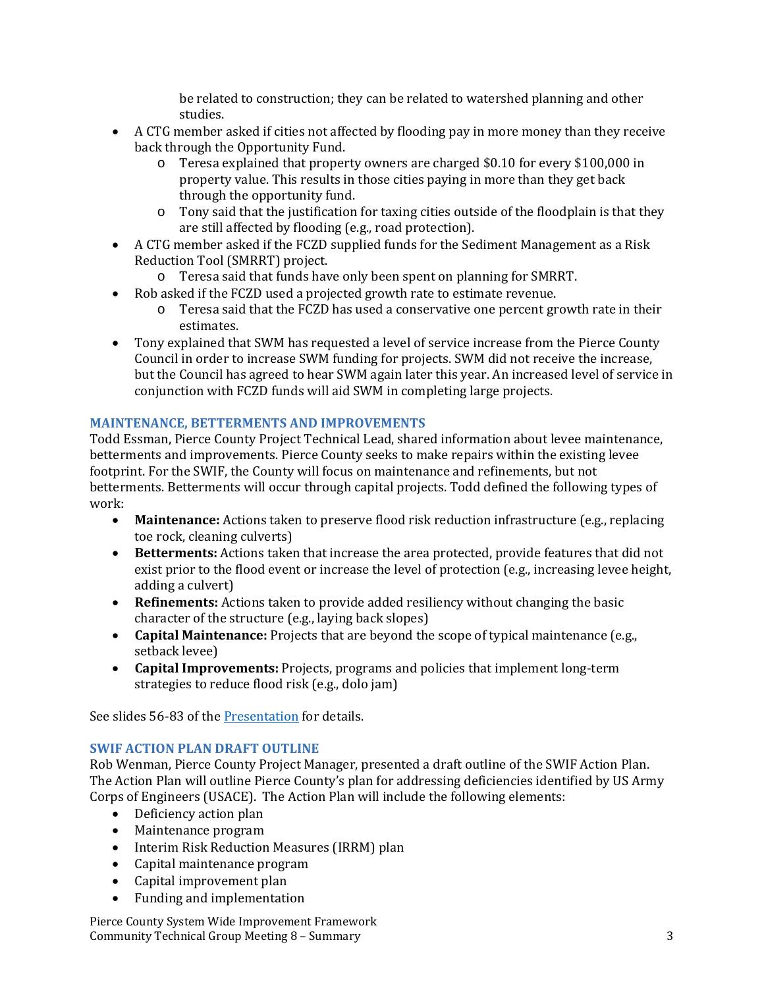be related to construction; they can be related to watershed planning and other studies. 

- A CTG member asked if cities not affected by flooding pay in more money than they receive back through the Opportunity Fund.
	- $\circ$  Teresa explained that property owners are charged \$0.10 for every \$100,000 in property value. This results in those cities paying in more than they get back through the opportunity fund.
	- o Tony said that the justification for taxing cities outside of the floodplain is that they are still affected by flooding (e.g., road protection).
- A CTG member asked if the FCZD supplied funds for the Sediment Management as a Risk Reduction Tool (SMRRT) project.
	- $\circ$  Teresa said that funds have only been spent on planning for SMRRT.
- Rob asked if the FCZD used a projected growth rate to estimate revenue.
	- $\circ$  Teresa said that the FCZD has used a conservative one percent growth rate in their estimates.
- Tony explained that SWM has requested a level of service increase from the Pierce County Council in order to increase SWM funding for projects. SWM did not receive the increase, but the Council has agreed to hear SWM again later this year. An increased level of service in conjunction with FCZD funds will aid SWM in completing large projects.

# **MAINTENANCE, BETTERMENTS AND IMPROVEMENTS**

Todd Essman, Pierce County Project Technical Lead, shared information about levee maintenance, betterments and improvements. Pierce County seeks to make repairs within the existing levee footprint. For the SWIF, the County will focus on maintenance and refinements, but not betterments. Betterments will occur through capital projects. Todd defined the following types of work: 

- Maintenance: Actions taken to preserve flood risk reduction infrastructure (e.g., replacing toe rock, cleaning culverts)
- Betterments: Actions taken that increase the area protected, provide features that did not exist prior to the flood event or increase the level of protection (e.g., increasing levee height, adding a culvert)
- **Refinements:** Actions taken to provide added resiliency without changing the basic character of the structure  $(e.g., laying back slopes)$
- **Capital Maintenance:** Projects that are beyond the scope of typical maintenance (e.g., setback levee)
- **Capital Improvements:** Projects, programs and policies that implement long-term strategies to reduce flood risk (e.g., dolo jam)

See slides 56-83 of the Presentation for details.

# **SWIF ACTION PLAN DRAFT OUTLINE**

Rob Wenman, Pierce County Project Manager, presented a draft outline of the SWIF Action Plan. The Action Plan will outline Pierce County's plan for addressing deficiencies identified by US Army Corps of Engineers (USACE). The Action Plan will include the following elements:

- Deficiency action plan
- Maintenance program
- Interim Risk Reduction Measures (IRRM) plan
- Capital maintenance program
- Capital improvement plan
- Funding and implementation

Pierce County System Wide Improvement Framework Community Technical Group Meeting 8 – Summary **3** and the state of the state of the state of the state of the state of the state of the state of the state of the state of the state of the state of the state of the state of